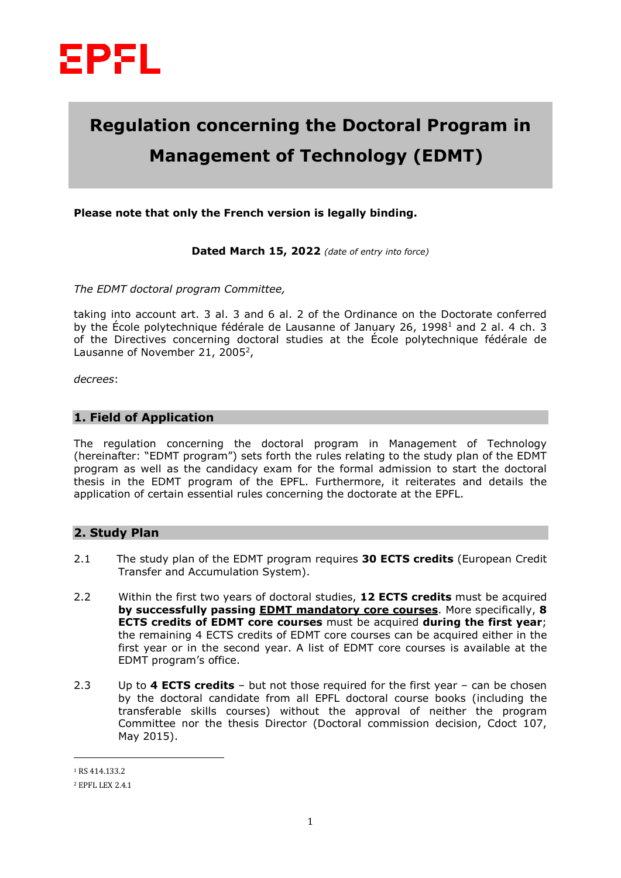

# **Regulation concerning the Doctoral Program in Management of Technology (EDMT)**

**Please note that only the French version is legally binding.**

**Dated March 15, 2022** *(date of entry into force)*

*The EDMT doctoral program Committee,*

taking into account art. 3 al. 3 and 6 al. 2 of the Ordinance on the Doctorate conferred by the École polytechnique fédérale de Lausanne of January 26, 1998<sup>1</sup> and 2 al. 4 ch. 3 of the Directives concerning doctoral studies at the École polytechnique fédérale de Lausanne of November 21, 2005<sup>2</sup>,

*decrees*:

## **1. Field of Application**

The regulation concerning the doctoral program in Management of Technology (hereinafter: "EDMT program") sets forth the rules relating to the study plan of the EDMT program as well as the candidacy exam for the formal admission to start the doctoral thesis in the EDMT program of the EPFL. Furthermore, it reiterates and details the application of certain essential rules concerning the doctorate at the EPFL.

## **2. Study Plan**

- 2.1 The study plan of the EDMT program requires **30 ECTS credits** (European Credit Transfer and Accumulation System).
- 2.2 Within the first two years of doctoral studies, **12 ECTS credits** must be acquired **by successfully passing EDMT mandatory core courses**. More specifically, **8 ECTS credits of EDMT core courses** must be acquired **during the first year**; the remaining 4 ECTS credits of EDMT core courses can be acquired either in the first year or in the second year. A list of EDMT core courses is available at the EDMT program's office.
- 2.3 Up to **4 ECTS credits** but not those required for the first year can be chosen by the doctoral candidate from all EPFL doctoral course books (including the transferable skills courses) without the approval of neither the program Committee nor the thesis Director (Doctoral commission decision, Cdoct 107, May 2015).

 $\overline{a}$ 

<sup>1</sup> RS 414.133.2

<sup>2</sup> EPFL LEX 2.4.1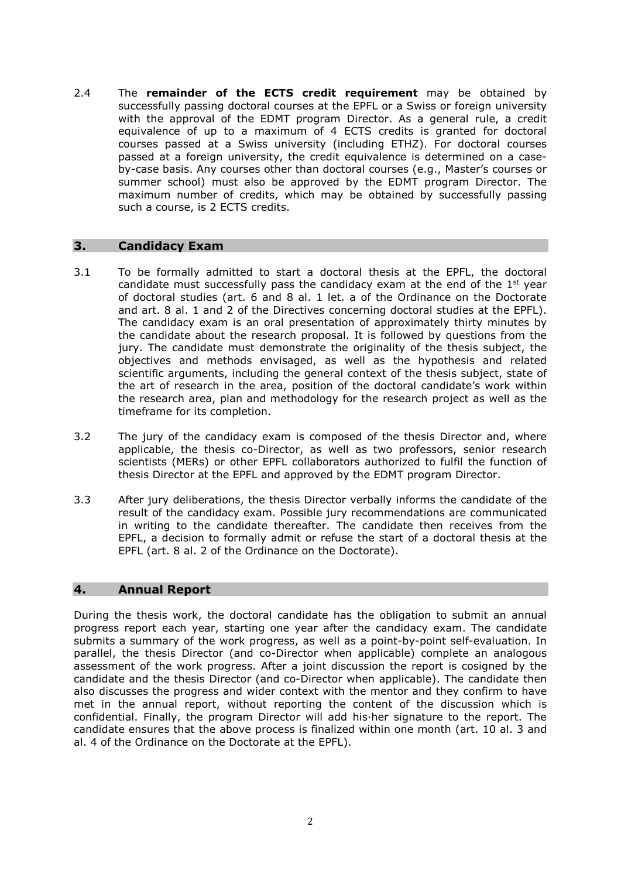2.4 The **remainder of the ECTS credit requirement** may be obtained by successfully passing doctoral courses at the EPFL or a Swiss or foreign university with the approval of the EDMT program Director. As a general rule, a credit equivalence of up to a maximum of 4 ECTS credits is granted for doctoral courses passed at a Swiss university (including ETHZ). For doctoral courses passed at a foreign university, the credit equivalence is determined on a caseby-case basis. Any courses other than doctoral courses (e.g., Master's courses or summer school) must also be approved by the EDMT program Director. The maximum number of credits, which may be obtained by successfully passing such a course, is 2 ECTS credits.

### **3. Candidacy Exam**

- 3.1 To be formally admitted to start a doctoral thesis at the EPFL, the doctoral candidate must successfully pass the candidacy exam at the end of the  $1<sup>st</sup>$  year of doctoral studies (art. 6 and 8 al. 1 let. a of the Ordinance on the Doctorate and art. 8 al. 1 and 2 of the Directives concerning doctoral studies at the EPFL). The candidacy exam is an oral presentation of approximately thirty minutes by the candidate about the research proposal. It is followed by questions from the jury. The candidate must demonstrate the originality of the thesis subject, the objectives and methods envisaged, as well as the hypothesis and related scientific arguments, including the general context of the thesis subject, state of the art of research in the area, position of the doctoral candidate's work within the research area, plan and methodology for the research project as well as the timeframe for its completion.
- 3.2 The jury of the candidacy exam is composed of the thesis Director and, where applicable, the thesis co-Director, as well as two professors, senior research scientists (MERs) or other EPFL collaborators authorized to fulfil the function of thesis Director at the EPFL and approved by the EDMT program Director.
- 3.3 After jury deliberations, the thesis Director verbally informs the candidate of the result of the candidacy exam. Possible jury recommendations are communicated in writing to the candidate thereafter. The candidate then receives from the EPFL, a decision to formally admit or refuse the start of a doctoral thesis at the EPFL (art. 8 al. 2 of the Ordinance on the Doctorate).

#### **4. Annual Report**

During the thesis work, the doctoral candidate has the obligation to submit an annual progress report each year, starting one year after the candidacy exam. The candidate submits a summary of the work progress, as well as a point-by-point self-evaluation. In parallel, the thesis Director (and co-Director when applicable) complete an analogous assessment of the work progress. After a joint discussion the report is cosigned by the candidate and the thesis Director (and co-Director when applicable). The candidate then also discusses the progress and wider context with the mentor and they confirm to have met in the annual report, without reporting the content of the discussion which is confidential. Finally, the program Director will add his·her signature to the report. The candidate ensures that the above process is finalized within one month (art. 10 al. 3 and al. 4 of the Ordinance on the Doctorate at the EPFL).